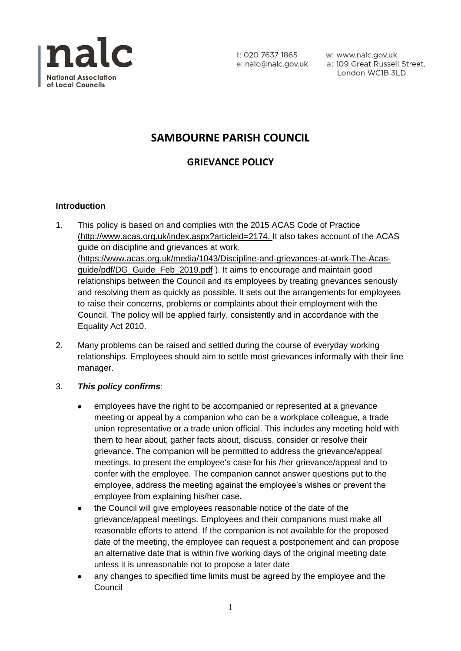

t: 020 7637 1865 e: nalc@nalc.gov.uk w: www.nalc.gov.uk a: 109 Great Russell Street, London WC1B 3LD

# **SAMBOURNE PARISH COUNCIL**

## **GRIEVANCE POLICY**

## **Introduction**

- 1. This policy is based on and complies with the 2015 ACAS Code of Practice [\(http://www.acas.org.uk/index.aspx?articleid=2174.](http://www.acas.org.uk/index.aspx?articleid=2174) It also takes account of the ACAS guide on discipline and grievances at work. [\(https://www.acas.org.uk/media/1043/Discipline-and-grievances-at-work-The-Acas](https://www.acas.org.uk/media/1043/Discipline-and-grievances-at-work-The-Acas-guide/pdf/DG_Guide_Feb_2019.pdf)[guide/pdf/DG\\_Guide\\_Feb\\_2019.pdf](https://www.acas.org.uk/media/1043/Discipline-and-grievances-at-work-The-Acas-guide/pdf/DG_Guide_Feb_2019.pdf) ). It aims to encourage and maintain good relationships between the Council and its employees by treating grievances seriously and resolving them as quickly as possible. It sets out the arrangements for employees to raise their concerns, problems or complaints about their employment with the Council. The policy will be applied fairly, consistently and in accordance with the Equality Act 2010.
- 2. Many problems can be raised and settled during the course of everyday working relationships. Employees should aim to settle most grievances informally with their line manager.
- 3. *This policy confirms*:
	- employees have the right to be accompanied or represented at a grievance meeting or appeal by a companion who can be a workplace colleague, a trade union representative or a trade union official. This includes any meeting held with them to hear about, gather facts about, discuss, consider or resolve their grievance. The companion will be permitted to address the grievance/appeal meetings, to present the employee's case for his /her grievance/appeal and to confer with the employee. The companion cannot answer questions put to the employee, address the meeting against the employee's wishes or prevent the employee from explaining his/her case.
	- the Council will give employees reasonable notice of the date of the grievance/appeal meetings. Employees and their companions must make all reasonable efforts to attend. If the companion is not available for the proposed date of the meeting, the employee can request a postponement and can propose an alternative date that is within five working days of the original meeting date unless it is unreasonable not to propose a later date
	- any changes to specified time limits must be agreed by the employee and the Council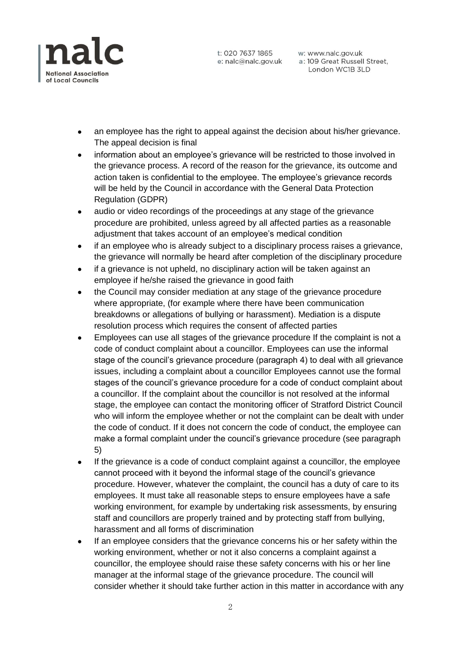

t: 020 7637 1865

w: www.nalc.gov.uk e: nalc@nalc.gov.uk a: 109 Great Russell Street, London WC1B 3LD

- an employee has the right to appeal against the decision about his/her grievance. The appeal decision is final
- information about an employee's grievance will be restricted to those involved in the grievance process. A record of the reason for the grievance, its outcome and action taken is confidential to the employee. The employee's grievance records will be held by the Council in accordance with the General Data Protection Regulation (GDPR)
- audio or video recordings of the proceedings at any stage of the grievance procedure are prohibited, unless agreed by all affected parties as a reasonable adjustment that takes account of an employee's medical condition
- if an employee who is already subject to a disciplinary process raises a grievance, the grievance will normally be heard after completion of the disciplinary procedure
- if a grievance is not upheld, no disciplinary action will be taken against an employee if he/she raised the grievance in good faith
- the Council may consider mediation at any stage of the grievance procedure where appropriate, (for example where there have been communication breakdowns or allegations of bullying or harassment). Mediation is a dispute resolution process which requires the consent of affected parties
- Employees can use all stages of the grievance procedure If the complaint is not a code of conduct complaint about a councillor. Employees can use the informal stage of the council's grievance procedure (paragraph 4) to deal with all grievance issues, including a complaint about a councillor Employees cannot use the formal stages of the council's grievance procedure for a code of conduct complaint about a councillor. If the complaint about the councillor is not resolved at the informal stage, the employee can contact the monitoring officer of Stratford District Council who will inform the employee whether or not the complaint can be dealt with under the code of conduct. If it does not concern the code of conduct, the employee can make a formal complaint under the council's grievance procedure (see paragraph 5)
- If the grievance is a code of conduct complaint against a councillor, the employee cannot proceed with it beyond the informal stage of the council's grievance procedure. However, whatever the complaint, the council has a duty of care to its employees. It must take all reasonable steps to ensure employees have a safe working environment, for example by undertaking risk assessments, by ensuring staff and councillors are properly trained and by protecting staff from bullying, harassment and all forms of discrimination
- If an employee considers that the grievance concerns his or her safety within the working environment, whether or not it also concerns a complaint against a councillor, the employee should raise these safety concerns with his or her line manager at the informal stage of the grievance procedure. The council will consider whether it should take further action in this matter in accordance with any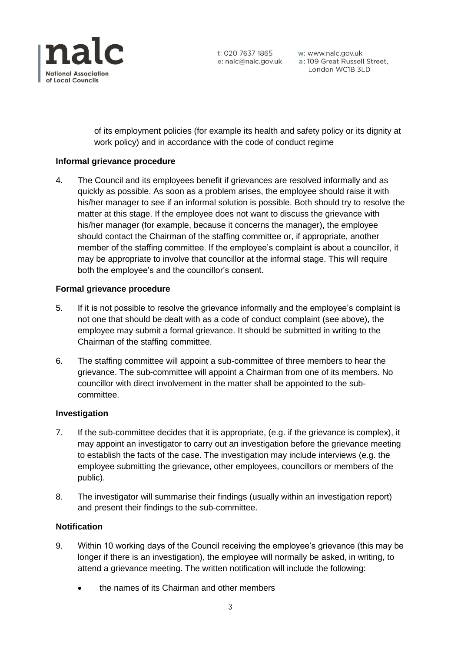

t: 020 7637 1865

w: www.nalc.gov.uk e: nalc@nalc.gov.uk a: 109 Great Russell Street, London WC1B 3LD

of its employment policies (for example its health and safety policy or its dignity at work policy) and in accordance with the code of conduct regime

## **Informal grievance procedure**

4. The Council and its employees benefit if grievances are resolved informally and as quickly as possible. As soon as a problem arises, the employee should raise it with his/her manager to see if an informal solution is possible. Both should try to resolve the matter at this stage. If the employee does not want to discuss the grievance with his/her manager (for example, because it concerns the manager), the employee should contact the Chairman of the staffing committee or, if appropriate, another member of the staffing committee. If the employee's complaint is about a councillor, it may be appropriate to involve that councillor at the informal stage. This will require both the employee's and the councillor's consent.

#### **Formal grievance procedure**

- 5. If it is not possible to resolve the grievance informally and the employee's complaint is not one that should be dealt with as a code of conduct complaint (see above), the employee may submit a formal grievance. It should be submitted in writing to the Chairman of the staffing committee.
- 6. The staffing committee will appoint a sub-committee of three members to hear the grievance. The sub-committee will appoint a Chairman from one of its members. No councillor with direct involvement in the matter shall be appointed to the subcommittee.

#### **Investigation**

- 7. If the sub-committee decides that it is appropriate, (e.g. if the grievance is complex), it may appoint an investigator to carry out an investigation before the grievance meeting to establish the facts of the case. The investigation may include interviews (e.g. the employee submitting the grievance, other employees, councillors or members of the public).
- 8. The investigator will summarise their findings (usually within an investigation report) and present their findings to the sub-committee.

## **Notification**

- 9. Within 10 working days of the Council receiving the employee's grievance (this may be longer if there is an investigation), the employee will normally be asked, in writing, to attend a grievance meeting. The written notification will include the following:
	- the names of its Chairman and other members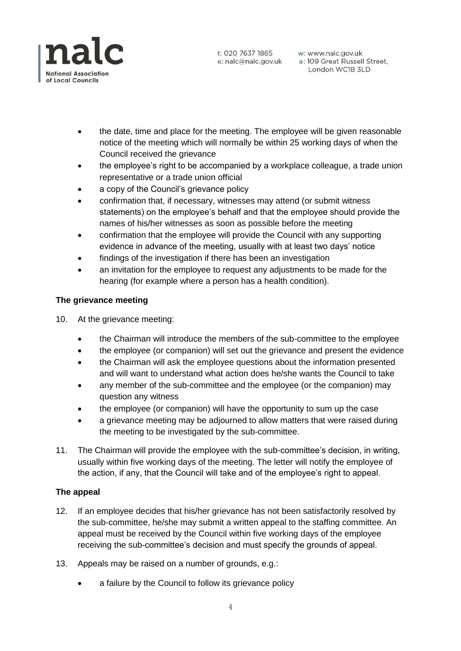

w: www.nalc.gov.uk e: nalc@nalc.gov.uk a: 109 Great Russell Street, London WC1B 3LD

- the date, time and place for the meeting. The employee will be given reasonable notice of the meeting which will normally be within 25 working days of when the Council received the grievance
- the employee's right to be accompanied by a workplace colleague, a trade union representative or a trade union official
- a copy of the Council's grievance policy
- confirmation that, if necessary, witnesses may attend (or submit witness statements) on the employee's behalf and that the employee should provide the names of his/her witnesses as soon as possible before the meeting
- confirmation that the employee will provide the Council with any supporting evidence in advance of the meeting, usually with at least two days' notice
- findings of the investigation if there has been an investigation
- an invitation for the employee to request any adjustments to be made for the hearing (for example where a person has a health condition).

## **The grievance meeting**

10. At the grievance meeting:

- the Chairman will introduce the members of the sub-committee to the employee
- the employee (or companion) will set out the grievance and present the evidence
- the Chairman will ask the employee questions about the information presented and will want to understand what action does he/she wants the Council to take
- any member of the sub-committee and the employee (or the companion) may question any witness
- the employee (or companion) will have the opportunity to sum up the case
- a grievance meeting may be adjourned to allow matters that were raised during the meeting to be investigated by the sub-committee.
- 11. The Chairman will provide the employee with the sub-committee's decision, in writing, usually within five working days of the meeting. The letter will notify the employee of the action, if any, that the Council will take and of the employee's right to appeal.

#### **The appeal**

- 12. If an employee decides that his/her grievance has not been satisfactorily resolved by the sub-committee, he/she may submit a written appeal to the staffing committee. An appeal must be received by the Council within five working days of the employee receiving the sub-committee's decision and must specify the grounds of appeal.
- 13. Appeals may be raised on a number of grounds, e.g.:
	- a failure by the Council to follow its grievance policy